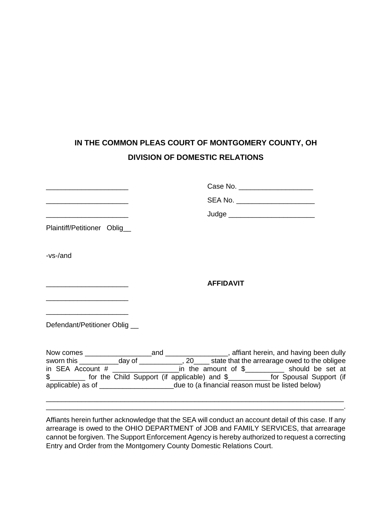## **IN THE COMMON PLEAS COURT OF MONTGOMERY COUNTY, OH DIVISION OF DOMESTIC RELATIONS**

|                                                                                                                       | Case No. ________________________                                                                  |
|-----------------------------------------------------------------------------------------------------------------------|----------------------------------------------------------------------------------------------------|
| <u> 1989 - Johann Harry Harry Harry Harry Harry Harry Harry Harry Harry Harry Harry Harry Harry Harry Harry Harry</u> | SEA No. ______________________                                                                     |
| <u> 1989 - Johann Barbara, martin amerikan basar dan berasal dalam basa dalam basar dalam basar dalam basa dalam</u>  | Judge ___________________________                                                                  |
| Plaintiff/Petitioner Oblig_                                                                                           |                                                                                                    |
|                                                                                                                       |                                                                                                    |
| -vs-/and                                                                                                              |                                                                                                    |
|                                                                                                                       |                                                                                                    |
|                                                                                                                       | <b>AFFIDAVIT</b>                                                                                   |
|                                                                                                                       |                                                                                                    |
|                                                                                                                       |                                                                                                    |
| Defendant/Petitioner Oblig __                                                                                         |                                                                                                    |
|                                                                                                                       |                                                                                                    |
|                                                                                                                       |                                                                                                    |
|                                                                                                                       |                                                                                                    |
|                                                                                                                       | in SEA Account $\#$ _________________________in the amount of $\$$ ______________ should be set at |
|                                                                                                                       | \$__________ for the Child Support (if applicable) and \$____________ for Spousal Support (if      |
|                                                                                                                       | applicable) as of ________________________due to (a financial reason must be listed below)         |

Affiants herein further acknowledge that the SEA will conduct an account detail of this case. If any arrearage is owed to the OHIO DEPARTMENT of JOB and FAMILY SERVICES, that arrearage cannot be forgiven. The Support Enforcement Agency is hereby authorized to request a correcting Entry and Order from the Montgomery County Domestic Relations Court.

\_\_\_\_\_\_\_\_\_\_\_\_\_\_\_\_\_\_\_\_\_\_\_\_\_\_\_\_\_\_\_\_\_\_\_\_\_\_\_\_\_\_\_\_\_\_\_\_\_\_\_\_\_\_\_\_\_\_\_\_\_\_\_\_\_\_\_\_\_\_\_\_\_\_\_\_ \_\_\_\_\_\_\_\_\_\_\_\_\_\_\_\_\_\_\_\_\_\_\_\_\_\_\_\_\_\_\_\_\_\_\_\_\_\_\_\_\_\_\_\_\_\_\_\_\_\_\_\_\_\_\_\_\_\_\_\_\_\_\_\_\_\_\_\_\_\_\_\_\_\_\_\_.